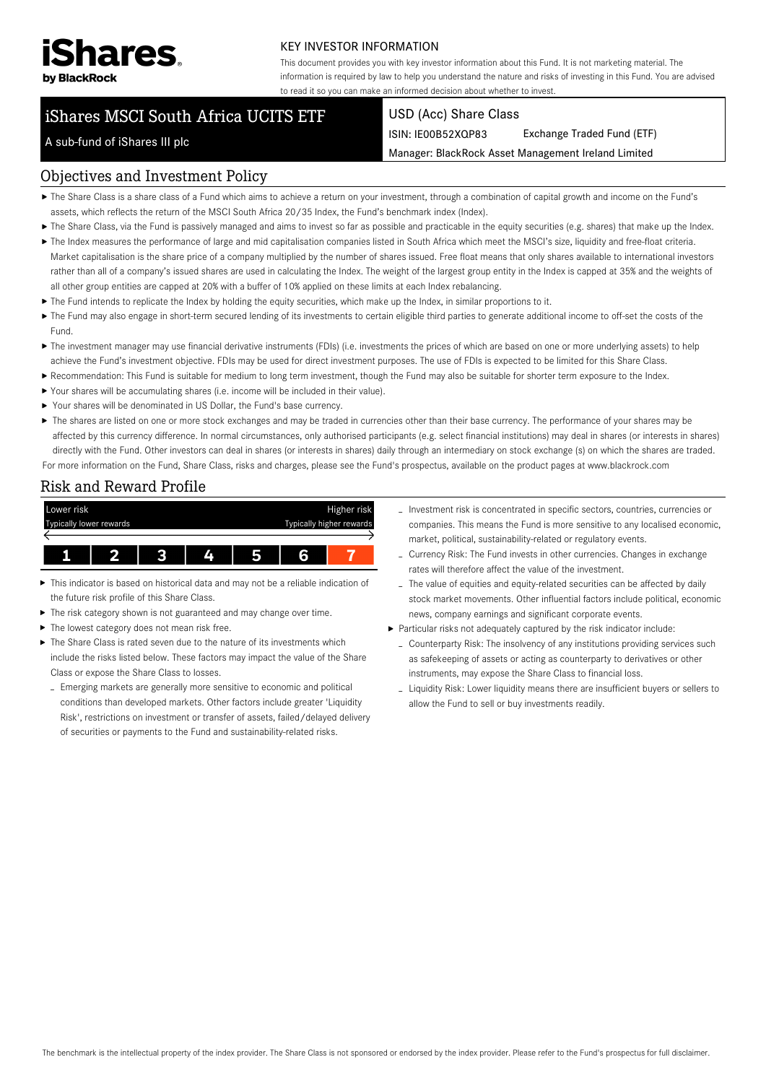

#### KEY INVESTOR INFORMATION

This document provides you with key investor information about this Fund. It is not marketing material. The information is required by law to help you understand the nature and risks of investing in this Fund. You are advised to read it so you can make an informed decision about whether to invest.

# iShares MSCI South Africa UCITS ETF

#### USD (Acc) Share Class

ISIN: IE00B52XQP83 Exchange Traded Fund (ETF)

Manager: BlackRock Asset Management Ireland Limited

# A sub-fund of iShares III plc

#### Objectives and Investment Policy

- The Share Class is a share class of a Fund which aims to achieve a return on your investment, through a combination of capital growth and income on the Fund's assets, which reflects the return of the MSCI South Africa 20/35 Index, the Fund's benchmark index (Index).
- ▶ The Share Class, via the Fund is passively managed and aims to invest so far as possible and practicable in the equity securities (e.g. shares) that make up the Index.
- ▶ The Index measures the performance of large and mid capitalisation companies listed in South Africa which meet the MSCI's size, liquidity and free-float criteria. Market capitalisation is the share price of a company multiplied by the number of shares issued. Free float means that only shares available to international investors rather than all of a company's issued shares are used in calculating the Index. The weight of the largest group entity in the Index is capped at 35% and the weights of all other group entities are capped at 20% with a buffer of 10% applied on these limits at each Index rebalancing.
- The Fund intends to replicate the Index by holding the equity securities, which make up the Index, in similar proportions to it.
- The Fund may also engage in short-term secured lending of its investments to certain eligible third parties to generate additional income to off-set the costs of the Fund.
- ▶ The investment manager may use financial derivative instruments (FDIs) (i.e. investments the prices of which are based on one or more underlying assets) to help achieve the Fund's investment objective. FDIs may be used for direct investment purposes. The use of FDIs is expected to be limited for this Share Class.
- Recommendation: This Fund is suitable for medium to long term investment, though the Fund may also be suitable for shorter term exposure to the Index.
- Your shares will be accumulating shares (i.e. income will be included in their value).
- ▶ Your shares will be denominated in US Dollar, the Fund's base currency.
- ▶ The shares are listed on one or more stock exchanges and may be traded in currencies other than their base currency. The performance of your shares may be affected by this currency difference. In normal circumstances, only authorised participants (e.g. select financial institutions) may deal in shares (or interests in shares) directly with the Fund. Other investors can deal in shares (or interests in shares) daily through an intermediary on stock exchange (s) on which the shares are traded. For more information on the Fund, Share Class, risks and charges, please see the Fund's prospectus, available on the product pages at www.blackrock.com

# Risk and Reward Profile



- This indicator is based on historical data and may not be a reliable indication of ь the future risk profile of this Share Class.
- The risk category shown is not guaranteed and may change over time.
- The lowest category does not mean risk free. ь
- The Share Class is rated seven due to the nature of its investments which include the risks listed below. These factors may impact the value of the Share Class or expose the Share Class to losses.
	- Emerging markets are generally more sensitive to economic and political conditions than developed markets. Other factors include greater 'Liquidity Risk', restrictions on investment or transfer of assets, failed/delayed delivery of securities or payments to the Fund and sustainability-related risks.
- Investment risk is concentrated in specific sectors, countries, currencies or companies. This means the Fund is more sensitive to any localised economic, market, political, sustainability-related or regulatory events.
- Currency Risk: The Fund invests in other currencies. Changes in exchange rates will therefore affect the value of the investment.
- The value of equities and equity-related securities can be affected by daily stock market movements. Other influential factors include political, economic news, company earnings and significant corporate events.
- Particular risks not adequately captured by the risk indicator include:
	- Counterparty Risk: The insolvency of any institutions providing services such as safekeeping of assets or acting as counterparty to derivatives or other instruments, may expose the Share Class to financial loss.
	- Liquidity Risk: Lower liquidity means there are insufficient buyers or sellers to allow the Fund to sell or buy investments readily.